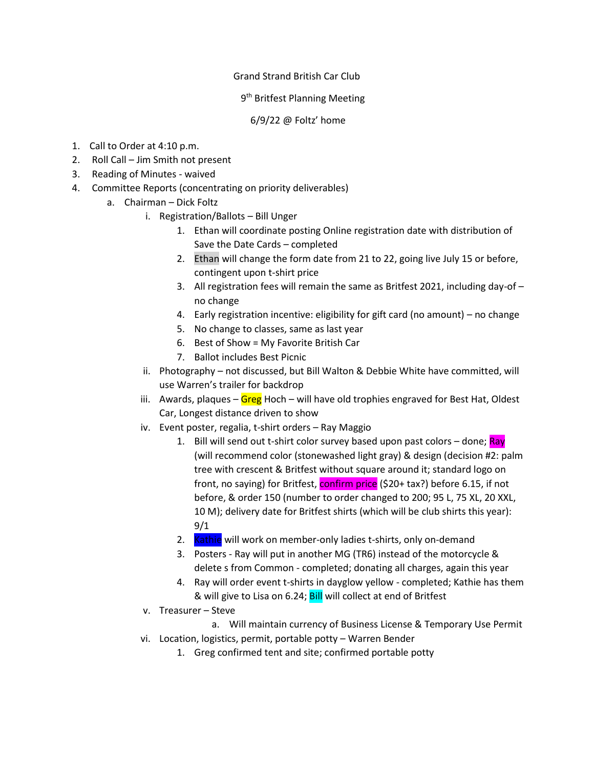## Grand Strand British Car Club

## 9<sup>th</sup> Britfest Planning Meeting

## 6/9/22 @ Foltz' home

- 1. Call to Order at 4:10 p.m.
- 2. Roll Call Jim Smith not present
- 3. Reading of Minutes waived
- 4. Committee Reports (concentrating on priority deliverables)
	- a. Chairman Dick Foltz
		- i. Registration/Ballots Bill Unger
			- 1. Ethan will coordinate posting Online registration date with distribution of Save the Date Cards – completed
			- 2. Ethan will change the form date from 21 to 22, going live July 15 or before, contingent upon t-shirt price
			- 3. All registration fees will remain the same as Britfest 2021, including day-of no change
			- 4. Early registration incentive: eligibility for gift card (no amount) no change
			- 5. No change to classes, same as last year
			- 6. Best of Show = My Favorite British Car
			- 7. Ballot includes Best Picnic
		- ii. Photography not discussed, but Bill Walton & Debbie White have committed, will use Warren's trailer for backdrop
		- iii. Awards, plaques Greg Hoch will have old trophies engraved for Best Hat, Oldest Car, Longest distance driven to show
		- iv. Event poster, regalia, t-shirt orders Ray Maggio
			- 1. Bill will send out t-shirt color survey based upon past colors done; Ray (will recommend color (stonewashed light gray) & design (decision #2: palm tree with crescent & Britfest without square around it; standard logo on front, no saying) for Britfest, confirm price (\$20+ tax?) before 6.15, if not before, & order 150 (number to order changed to 200; 95 L, 75 XL, 20 XXL, 10 M); delivery date for Britfest shirts (which will be club shirts this year): 9/1
			- 2. Kathie will work on member-only ladies t-shirts, only on-demand
			- 3. Posters Ray will put in another MG (TR6) instead of the motorcycle & delete s from Common - completed; donating all charges, again this year
			- 4. Ray will order event t-shirts in dayglow yellow completed; Kathie has them & will give to Lisa on 6.24; Bill will collect at end of Britfest
		- v. Treasurer Steve
			- a. Will maintain currency of Business License & Temporary Use Permit
		- vi. Location, logistics, permit, portable potty Warren Bender
			- 1. Greg confirmed tent and site; confirmed portable potty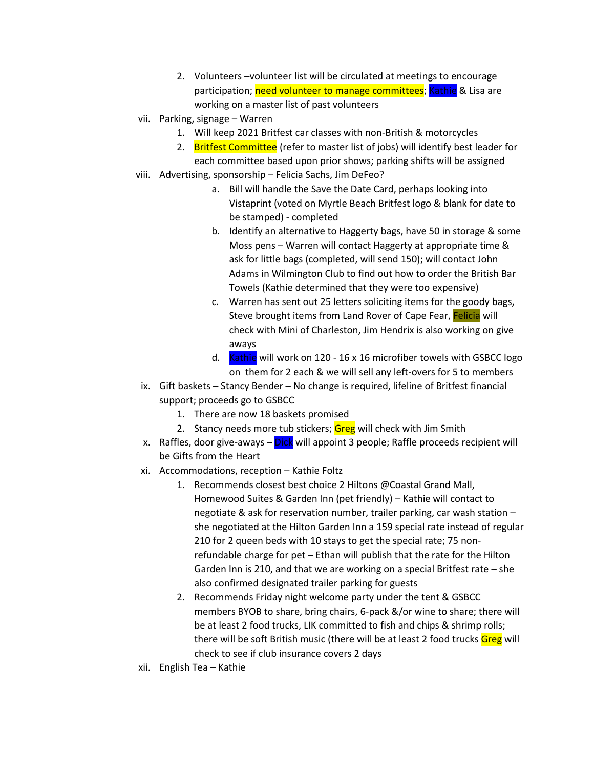- 2. Volunteers –volunteer list will be circulated at meetings to encourage participation; need volunteer to manage committees; Kathie & Lisa are working on a master list of past volunteers
- vii. Parking, signage Warren
	- 1. Will keep 2021 Britfest car classes with non-British & motorcycles
	- 2. Britfest Committee (refer to master list of jobs) will identify best leader for each committee based upon prior shows; parking shifts will be assigned
- viii. Advertising, sponsorship Felicia Sachs, Jim DeFeo?
	- a. Bill will handle the Save the Date Card, perhaps looking into Vistaprint (voted on Myrtle Beach Britfest logo & blank for date to be stamped) - completed
	- b. Identify an alternative to Haggerty bags, have 50 in storage & some Moss pens – Warren will contact Haggerty at appropriate time & ask for little bags (completed, will send 150); will contact John Adams in Wilmington Club to find out how to order the British Bar Towels (Kathie determined that they were too expensive)
	- c. Warren has sent out 25 letters soliciting items for the goody bags, Steve brought items from Land Rover of Cape Fear, Felicia will check with Mini of Charleston, Jim Hendrix is also working on give aways
	- d. Kathie will work on 120 16 x 16 microfiber towels with GSBCC logo on them for 2 each & we will sell any left-overs for 5 to members
- ix. Gift baskets Stancy Bender No change is required, lifeline of Britfest financial support; proceeds go to GSBCC
	- 1. There are now 18 baskets promised
	- 2. Stancy needs more tub stickers; Greg will check with Jim Smith
- x. Raffles, door give-aways Dick will appoint 3 people; Raffle proceeds recipient will be Gifts from the Heart
- xi. Accommodations, reception Kathie Foltz
	- 1. Recommends closest best choice 2 Hiltons @Coastal Grand Mall, Homewood Suites & Garden Inn (pet friendly) – Kathie will contact to negotiate & ask for reservation number, trailer parking, car wash station – she negotiated at the Hilton Garden Inn a 159 special rate instead of regular 210 for 2 queen beds with 10 stays to get the special rate; 75 nonrefundable charge for pet – Ethan will publish that the rate for the Hilton Garden Inn is 210, and that we are working on a special Britfest rate – she also confirmed designated trailer parking for guests
	- 2. Recommends Friday night welcome party under the tent & GSBCC members BYOB to share, bring chairs, 6-pack &/or wine to share; there will be at least 2 food trucks, LIK committed to fish and chips & shrimp rolls; there will be soft British music (there will be at least 2 food trucks Greg will check to see if club insurance covers 2 days
- xii. English Tea Kathie